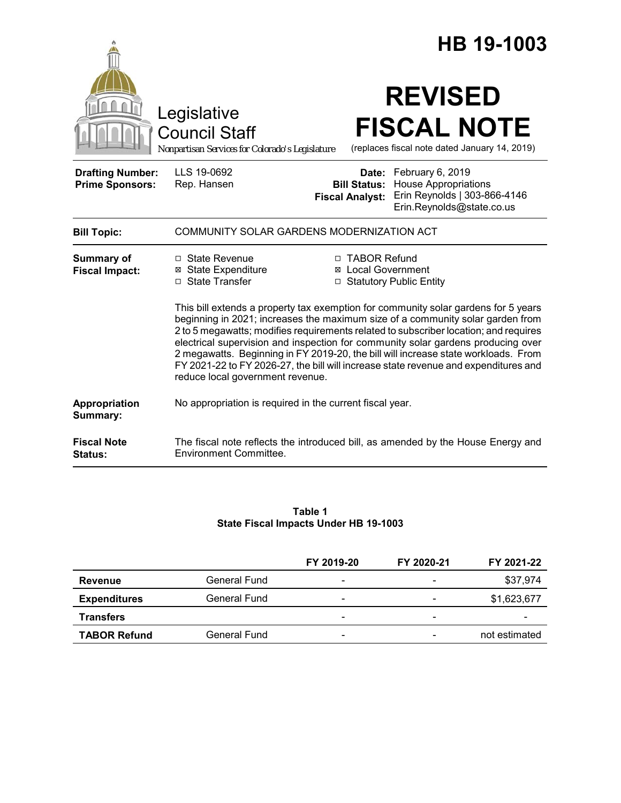|                                                   |                                                                                                                                                                                                                                                                                                                                                                                                                                                                                                                                                                   |                                                        | HB 19-1003                                                                                                   |  |  |
|---------------------------------------------------|-------------------------------------------------------------------------------------------------------------------------------------------------------------------------------------------------------------------------------------------------------------------------------------------------------------------------------------------------------------------------------------------------------------------------------------------------------------------------------------------------------------------------------------------------------------------|--------------------------------------------------------|--------------------------------------------------------------------------------------------------------------|--|--|
|                                                   | Legislative<br><b>Council Staff</b><br>Nonpartisan Services for Colorado's Legislature                                                                                                                                                                                                                                                                                                                                                                                                                                                                            |                                                        | <b>REVISED</b><br><b>FISCAL NOTE</b><br>(replaces fiscal note dated January 14, 2019)                        |  |  |
| <b>Drafting Number:</b><br><b>Prime Sponsors:</b> | LLS 19-0692<br>Rep. Hansen                                                                                                                                                                                                                                                                                                                                                                                                                                                                                                                                        | Date:<br><b>Bill Status:</b><br><b>Fiscal Analyst:</b> | February 6, 2019<br><b>House Appropriations</b><br>Erin Reynolds   303-866-4146<br>Erin.Reynolds@state.co.us |  |  |
| <b>Bill Topic:</b>                                | COMMUNITY SOLAR GARDENS MODERNIZATION ACT                                                                                                                                                                                                                                                                                                                                                                                                                                                                                                                         |                                                        |                                                                                                              |  |  |
| <b>Summary of</b><br><b>Fiscal Impact:</b>        | $\Box$ State Revenue<br><b>⊠ State Expenditure</b><br>□ State Transfer                                                                                                                                                                                                                                                                                                                                                                                                                                                                                            | □ TABOR Refund<br><b>⊠</b> Local Government            | □ Statutory Public Entity                                                                                    |  |  |
|                                                   | This bill extends a property tax exemption for community solar gardens for 5 years<br>beginning in 2021; increases the maximum size of a community solar garden from<br>2 to 5 megawatts; modifies requirements related to subscriber location; and requires<br>electrical supervision and inspection for community solar gardens producing over<br>2 megawatts. Beginning in FY 2019-20, the bill will increase state workloads. From<br>FY 2021-22 to FY 2026-27, the bill will increase state revenue and expenditures and<br>reduce local government revenue. |                                                        |                                                                                                              |  |  |
| Appropriation<br>Summary:                         | No appropriation is required in the current fiscal year.                                                                                                                                                                                                                                                                                                                                                                                                                                                                                                          |                                                        |                                                                                                              |  |  |
| <b>Fiscal Note</b><br>Status:                     | <b>Environment Committee.</b>                                                                                                                                                                                                                                                                                                                                                                                                                                                                                                                                     |                                                        | The fiscal note reflects the introduced bill, as amended by the House Energy and                             |  |  |

#### **Table 1 State Fiscal Impacts Under HB 19-1003**

|                     |              | FY 2019-20               | FY 2020-21                   | FY 2021-22    |
|---------------------|--------------|--------------------------|------------------------------|---------------|
| Revenue             | General Fund | $\overline{\phantom{a}}$ | $\overline{\phantom{a}}$     | \$37,974      |
| <b>Expenditures</b> | General Fund | $\overline{\phantom{a}}$ |                              | \$1,623,677   |
| <b>Transfers</b>    |              | $\overline{\phantom{a}}$ | $\qquad \qquad \blacksquare$ | -             |
| <b>TABOR Refund</b> | General Fund | $\overline{\phantom{a}}$ |                              | not estimated |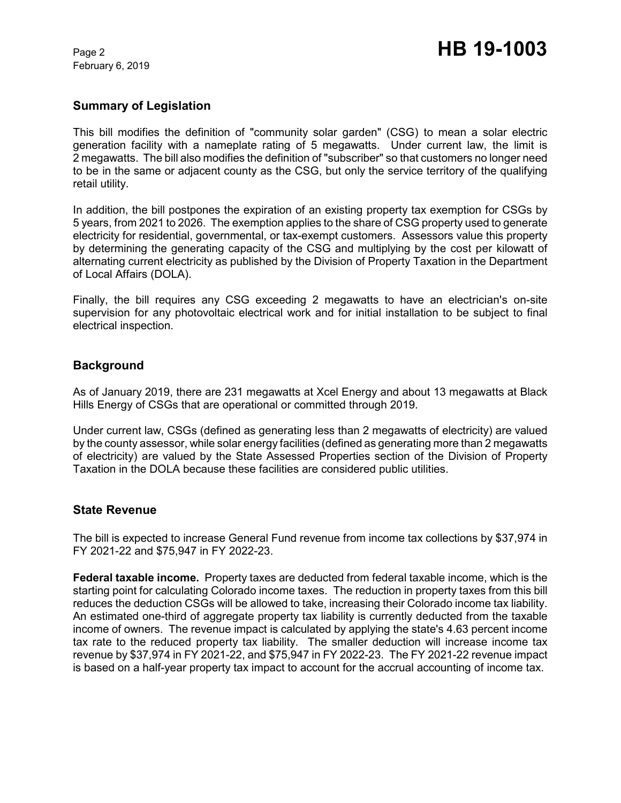February 6, 2019

## **Summary of Legislation**

This bill modifies the definition of "community solar garden" (CSG) to mean a solar electric generation facility with a nameplate rating of 5 megawatts. Under current law, the limit is 2 megawatts. The bill also modifies the definition of "subscriber" so that customers no longer need to be in the same or adjacent county as the CSG, but only the service territory of the qualifying retail utility.

In addition, the bill postpones the expiration of an existing property tax exemption for CSGs by 5 years, from 2021 to 2026. The exemption applies to the share of CSG property used to generate electricity for residential, governmental, or tax-exempt customers. Assessors value this property by determining the generating capacity of the CSG and multiplying by the cost per kilowatt of alternating current electricity as published by the Division of Property Taxation in the Department of Local Affairs (DOLA).

Finally, the bill requires any CSG exceeding 2 megawatts to have an electrician's on-site supervision for any photovoltaic electrical work and for initial installation to be subject to final electrical inspection.

### **Background**

As of January 2019, there are 231 megawatts at Xcel Energy and about 13 megawatts at Black Hills Energy of CSGs that are operational or committed through 2019.

Under current law, CSGs (defined as generating less than 2 megawatts of electricity) are valued by the county assessor, while solar energy facilities (defined as generating more than 2 megawatts of electricity) are valued by the State Assessed Properties section of the Division of Property Taxation in the DOLA because these facilities are considered public utilities.

### **State Revenue**

The bill is expected to increase General Fund revenue from income tax collections by \$37,974 in FY 2021-22 and \$75,947 in FY 2022-23.

**Federal taxable income.** Property taxes are deducted from federal taxable income, which is the starting point for calculating Colorado income taxes. The reduction in property taxes from this bill reduces the deduction CSGs will be allowed to take, increasing their Colorado income tax liability. An estimated one-third of aggregate property tax liability is currently deducted from the taxable income of owners. The revenue impact is calculated by applying the state's 4.63 percent income tax rate to the reduced property tax liability. The smaller deduction will increase income tax revenue by \$37,974 in FY 2021-22, and \$75,947 in FY 2022-23. The FY 2021-22 revenue impact is based on a half-year property tax impact to account for the accrual accounting of income tax.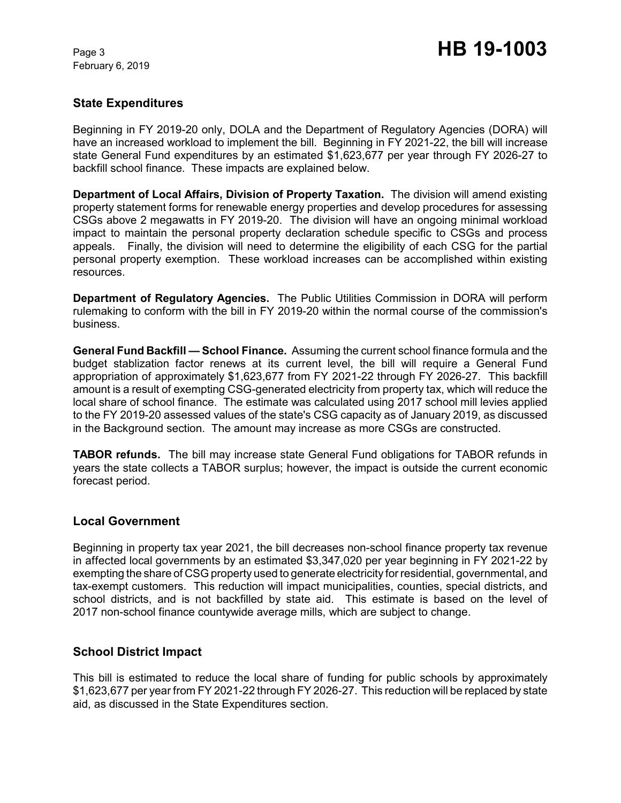February 6, 2019

## **State Expenditures**

Beginning in FY 2019-20 only, DOLA and the Department of Regulatory Agencies (DORA) will have an increased workload to implement the bill. Beginning in FY 2021-22, the bill will increase state General Fund expenditures by an estimated \$1,623,677 per year through FY 2026-27 to backfill school finance. These impacts are explained below.

**Department of Local Affairs, Division of Property Taxation.** The division will amend existing property statement forms for renewable energy properties and develop procedures for assessing CSGs above 2 megawatts in FY 2019-20. The division will have an ongoing minimal workload impact to maintain the personal property declaration schedule specific to CSGs and process appeals. Finally, the division will need to determine the eligibility of each CSG for the partial personal property exemption. These workload increases can be accomplished within existing resources.

**Department of Regulatory Agencies.** The Public Utilities Commission in DORA will perform rulemaking to conform with the bill in FY 2019-20 within the normal course of the commission's business.

**General Fund Backfill — School Finance.** Assuming the current school finance formula and the budget stablization factor renews at its current level, the bill will require a General Fund appropriation of approximately \$1,623,677 from FY 2021-22 through FY 2026-27. This backfill amount is a result of exempting CSG-generated electricity from property tax, which will reduce the local share of school finance. The estimate was calculated using 2017 school mill levies applied to the FY 2019-20 assessed values of the state's CSG capacity as of January 2019, as discussed in the Background section. The amount may increase as more CSGs are constructed.

**TABOR refunds.** The bill may increase state General Fund obligations for TABOR refunds in years the state collects a TABOR surplus; however, the impact is outside the current economic forecast period.

### **Local Government**

Beginning in property tax year 2021, the bill decreases non-school finance property tax revenue in affected local governments by an estimated \$3,347,020 per year beginning in FY 2021-22 by exempting the share of CSG property used to generate electricity for residential, governmental, and tax-exempt customers. This reduction will impact municipalities, counties, special districts, and school districts, and is not backfilled by state aid. This estimate is based on the level of 2017 non-school finance countywide average mills, which are subject to change.

# **School District Impact**

This bill is estimated to reduce the local share of funding for public schools by approximately \$1,623,677 per year from FY 2021-22 through FY 2026-27. This reduction will be replaced by state aid, as discussed in the State Expenditures section.